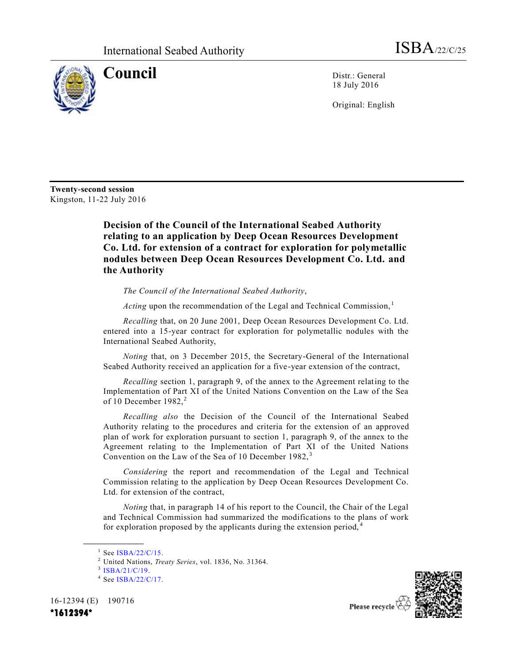

**Council** Distr.: General 18 July 2016

Original: English

**Twenty-second session** Kingston, 11-22 July 2016

> **Decision of the Council of the International Seabed Authority relating to an application by Deep Ocean Resources Development Co. Ltd. for extension of a contract for exploration for polymetallic nodules between Deep Ocean Resources Development Co. Ltd. and the Authority**

*The Council of the International Seabed Authority*,

Acting upon the recommendation of the Legal and Technical Commission,<sup>1</sup>

*Recalling* that, on 20 June 2001, Deep Ocean Resources Development Co. Ltd. entered into a 15-year contract for exploration for polymetallic nodules with the International Seabed Authority,

*Noting* that, on 3 December 2015, the Secretary-General of the International Seabed Authority received an application for a five-year extension of the contract,

*Recalling* section 1, paragraph 9, of the annex to the Agreement relating to the Implementation of Part XI of the United Nations Convention on the Law of the Sea of 10 December  $1982$ <sup>2</sup>

*Recalling also* the Decision of the Council of the International Seabed Authority relating to the procedures and criteria for the extension of an approved plan of work for exploration pursuant to section 1, paragraph 9, of the annex to the Agreement relating to the Implementation of Part XI of the United Nations Convention on the Law of the Sea of 10 December 1982,<sup>3</sup>

*Considering* the report and recommendation of the Legal and Technical Commission relating to the application by Deep Ocean Resources Development Co. Ltd. for extension of the contract,

*Noting* that, in paragraph 14 of his report to the Council, the Chair of the Legal and Technical Commission had summarized the modifications to the plans of work for exploration proposed by the applicants during the extension period,  $4\overline{ }$ 

**\_\_\_\_\_\_\_\_\_\_\_\_\_\_\_\_\_\_**

<sup>3</sup> [ISBA/21/C/19.](http://undocs.org/ISBA/21/C/19)

16-12394 (E) 190716



<sup>1</sup> See [ISBA/22/C/15.](http://undocs.org/ISBA/22/C/15)

<sup>2</sup> United Nations, *Treaty Series*, vol. 1836, No. 31364.

<sup>&</sup>lt;sup>4</sup> See [ISBA/22/C/17.](http://undocs.org/ISBA/22/C/17)